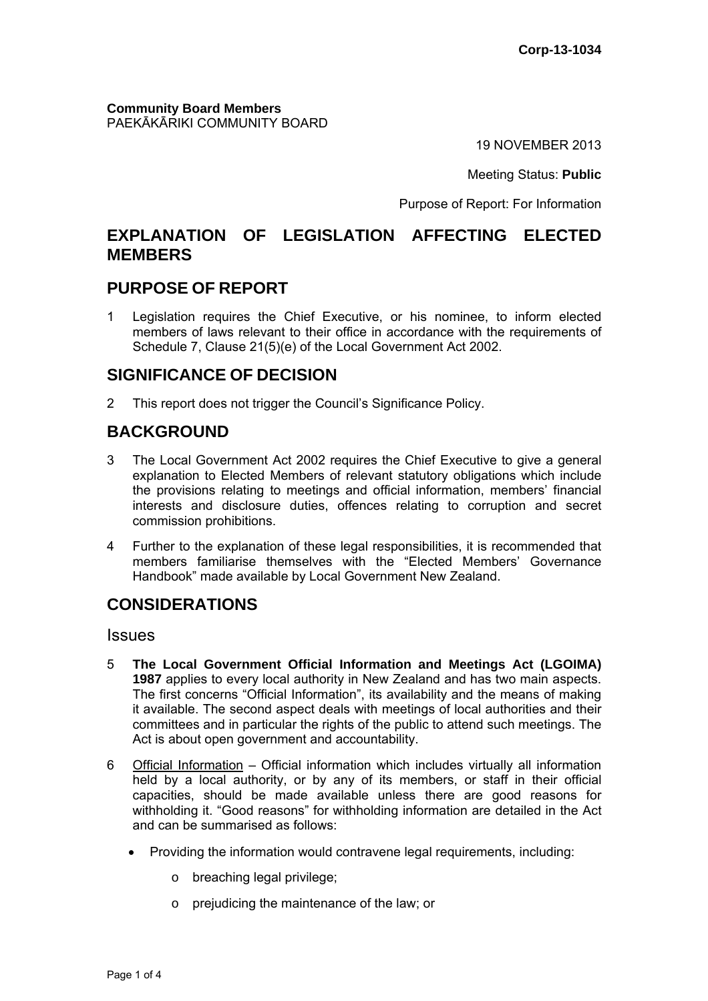**Community Board Members** PAEKĀKĀRIKI COMMUNITY BOARD

19 NOVEMBER 2013

Meeting Status: **Public**

Purpose of Report: For Information

## **EXPLANATION OF LEGISLATION AFFECTING ELECTED MEMBERS**

### **PURPOSE OF REPORT**

1 Legislation requires the Chief Executive, or his nominee, to inform elected members of laws relevant to their office in accordance with the requirements of Schedule 7, Clause 21(5)(e) of the Local Government Act 2002.

## **SIGNIFICANCE OF DECISION**

2 This report does not trigger the Council's Significance Policy.

# **BACKGROUND**

- 3 The Local Government Act 2002 requires the Chief Executive to give a general explanation to Elected Members of relevant statutory obligations which include the provisions relating to meetings and official information, members' financial interests and disclosure duties, offences relating to corruption and secret commission prohibitions.
- 4 Further to the explanation of these legal responsibilities, it is recommended that members familiarise themselves with the "Elected Members' Governance Handbook" made available by Local Government New Zealand.

# **CONSIDERATIONS**

Issues

- 5 **The Local Government Official Information and Meetings Act (LGOIMA) 1987** applies to every local authority in New Zealand and has two main aspects. The first concerns "Official Information", its availability and the means of making it available. The second aspect deals with meetings of local authorities and their committees and in particular the rights of the public to attend such meetings. The Act is about open government and accountability.
- 6 Official Information Official information which includes virtually all information held by a local authority, or by any of its members, or staff in their official capacities, should be made available unless there are good reasons for withholding it. "Good reasons" for withholding information are detailed in the Act and can be summarised as follows:
	- Providing the information would contravene legal requirements, including:
		- o breaching legal privilege;
		- o prejudicing the maintenance of the law; or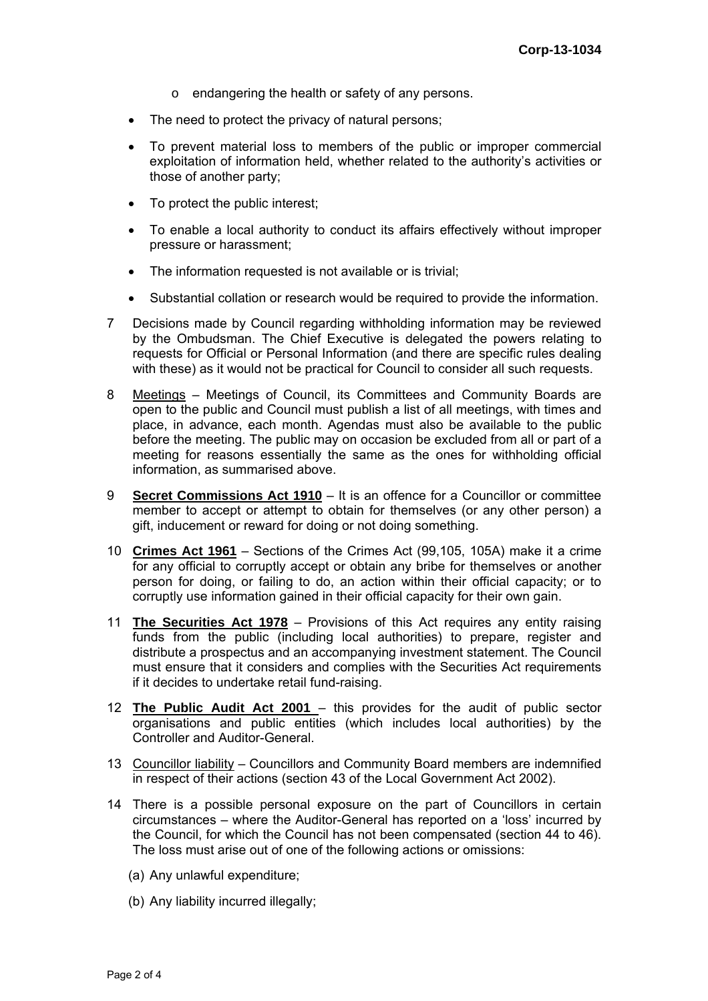- o endangering the health or safety of any persons.
- The need to protect the privacy of natural persons;
- To prevent material loss to members of the public or improper commercial exploitation of information held, whether related to the authority's activities or those of another party;
- To protect the public interest;
- To enable a local authority to conduct its affairs effectively without improper pressure or harassment;
- The information requested is not available or is trivial;
- Substantial collation or research would be required to provide the information.
- 7 Decisions made by Council regarding withholding information may be reviewed by the Ombudsman. The Chief Executive is delegated the powers relating to requests for Official or Personal Information (and there are specific rules dealing with these) as it would not be practical for Council to consider all such requests.
- 8 Meetings Meetings of Council, its Committees and Community Boards are open to the public and Council must publish a list of all meetings, with times and place, in advance, each month. Agendas must also be available to the public before the meeting. The public may on occasion be excluded from all or part of a meeting for reasons essentially the same as the ones for withholding official information, as summarised above.
- 9 **Secret Commissions Act 1910** It is an offence for a Councillor or committee member to accept or attempt to obtain for themselves (or any other person) a gift, inducement or reward for doing or not doing something.
- 10 **Crimes Act 1961** Sections of the Crimes Act (99,105, 105A) make it a crime for any official to corruptly accept or obtain any bribe for themselves or another person for doing, or failing to do, an action within their official capacity; or to corruptly use information gained in their official capacity for their own gain.
- 11 **The Securities Act 1978** Provisions of this Act requires any entity raising funds from the public (including local authorities) to prepare, register and distribute a prospectus and an accompanying investment statement. The Council must ensure that it considers and complies with the Securities Act requirements if it decides to undertake retail fund-raising.
- 12 **The Public Audit Act 2001**  this provides for the audit of public sector organisations and public entities (which includes local authorities) by the Controller and Auditor-General.
- 13 Councillor liability Councillors and Community Board members are indemnified in respect of their actions (section 43 of the Local Government Act 2002).
- 14 There is a possible personal exposure on the part of Councillors in certain circumstances – where the Auditor-General has reported on a 'loss' incurred by the Council, for which the Council has not been compensated (section 44 to 46). The loss must arise out of one of the following actions or omissions:
	- (a) Any unlawful expenditure;
	- (b) Any liability incurred illegally;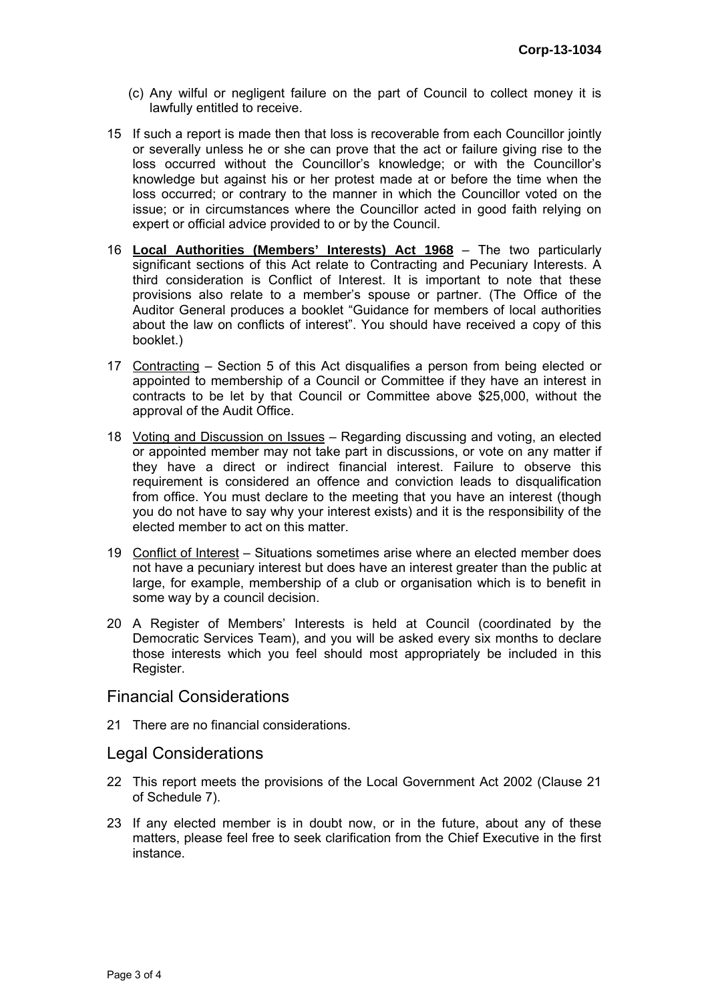- (c) Any wilful or negligent failure on the part of Council to collect money it is lawfully entitled to receive.
- 15 If such a report is made then that loss is recoverable from each Councillor jointly or severally unless he or she can prove that the act or failure giving rise to the loss occurred without the Councillor's knowledge; or with the Councillor's knowledge but against his or her protest made at or before the time when the loss occurred; or contrary to the manner in which the Councillor voted on the issue; or in circumstances where the Councillor acted in good faith relying on expert or official advice provided to or by the Council.
- 16 **Local Authorities (Members' Interests) Act 1968** The two particularly significant sections of this Act relate to Contracting and Pecuniary Interests. A third consideration is Conflict of Interest. It is important to note that these provisions also relate to a member's spouse or partner. (The Office of the Auditor General produces a booklet "Guidance for members of local authorities about the law on conflicts of interest". You should have received a copy of this booklet.)
- 17 Contracting Section 5 of this Act disqualifies a person from being elected or appointed to membership of a Council or Committee if they have an interest in contracts to be let by that Council or Committee above \$25,000, without the approval of the Audit Office.
- 18 Voting and Discussion on Issues Regarding discussing and voting, an elected or appointed member may not take part in discussions, or vote on any matter if they have a direct or indirect financial interest. Failure to observe this requirement is considered an offence and conviction leads to disqualification from office. You must declare to the meeting that you have an interest (though you do not have to say why your interest exists) and it is the responsibility of the elected member to act on this matter.
- 19 Conflict of Interest Situations sometimes arise where an elected member does not have a pecuniary interest but does have an interest greater than the public at large, for example, membership of a club or organisation which is to benefit in some way by a council decision.
- 20 A Register of Members' Interests is held at Council (coordinated by the Democratic Services Team), and you will be asked every six months to declare those interests which you feel should most appropriately be included in this Register.

### Financial Considerations

21 There are no financial considerations.

#### Legal Considerations

- 22 This report meets the provisions of the Local Government Act 2002 (Clause 21 of Schedule 7).
- 23 If any elected member is in doubt now, or in the future, about any of these matters, please feel free to seek clarification from the Chief Executive in the first instance.